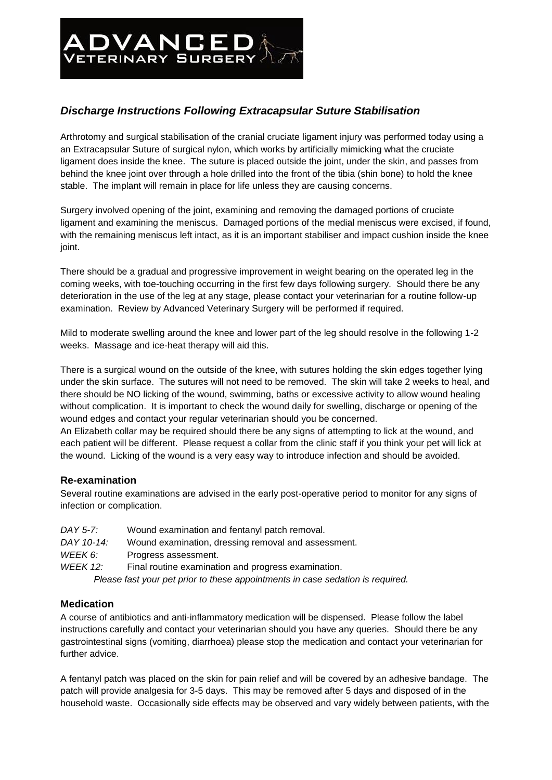# **ADVANCED**

# *Discharge Instructions Following Extracapsular Suture Stabilisation*

Arthrotomy and surgical stabilisation of the cranial cruciate ligament injury was performed today using a an Extracapsular Suture of surgical nylon, which works by artificially mimicking what the cruciate ligament does inside the knee. The suture is placed outside the joint, under the skin, and passes from behind the knee joint over through a hole drilled into the front of the tibia (shin bone) to hold the knee stable. The implant will remain in place for life unless they are causing concerns.

Surgery involved opening of the joint, examining and removing the damaged portions of cruciate ligament and examining the meniscus. Damaged portions of the medial meniscus were excised, if found, with the remaining meniscus left intact, as it is an important stabiliser and impact cushion inside the knee joint.

There should be a gradual and progressive improvement in weight bearing on the operated leg in the coming weeks, with toe-touching occurring in the first few days following surgery. Should there be any deterioration in the use of the leg at any stage, please contact your veterinarian for a routine follow-up examination. Review by Advanced Veterinary Surgery will be performed if required.

Mild to moderate swelling around the knee and lower part of the leg should resolve in the following 1-2 weeks. Massage and ice-heat therapy will aid this.

There is a surgical wound on the outside of the knee, with sutures holding the skin edges together lying under the skin surface. The sutures will not need to be removed. The skin will take 2 weeks to heal, and there should be NO licking of the wound, swimming, baths or excessive activity to allow wound healing without complication. It is important to check the wound daily for swelling, discharge or opening of the wound edges and contact your regular veterinarian should you be concerned.

An Elizabeth collar may be required should there be any signs of attempting to lick at the wound, and each patient will be different. Please request a collar from the clinic staff if you think your pet will lick at the wound. Licking of the wound is a very easy way to introduce infection and should be avoided.

# **Re-examination**

Several routine examinations are advised in the early post-operative period to monitor for any signs of infection or complication.

| DAY 5-7:        | Wound examination and fentanyl patch removal.                                  |
|-----------------|--------------------------------------------------------------------------------|
| DAY 10-14:      | Wound examination, dressing removal and assessment.                            |
| WEEK 6:         | Progress assessment.                                                           |
| <b>WEEK 12:</b> | Final routine examination and progress examination.                            |
|                 | Please fast your pet prior to these appointments in case sedation is required. |

# **Medication**

A course of antibiotics and anti-inflammatory medication will be dispensed. Please follow the label instructions carefully and contact your veterinarian should you have any queries. Should there be any gastrointestinal signs (vomiting, diarrhoea) please stop the medication and contact your veterinarian for further advice.

A fentanyl patch was placed on the skin for pain relief and will be covered by an adhesive bandage. The patch will provide analgesia for 3-5 days. This may be removed after 5 days and disposed of in the household waste. Occasionally side effects may be observed and vary widely between patients, with the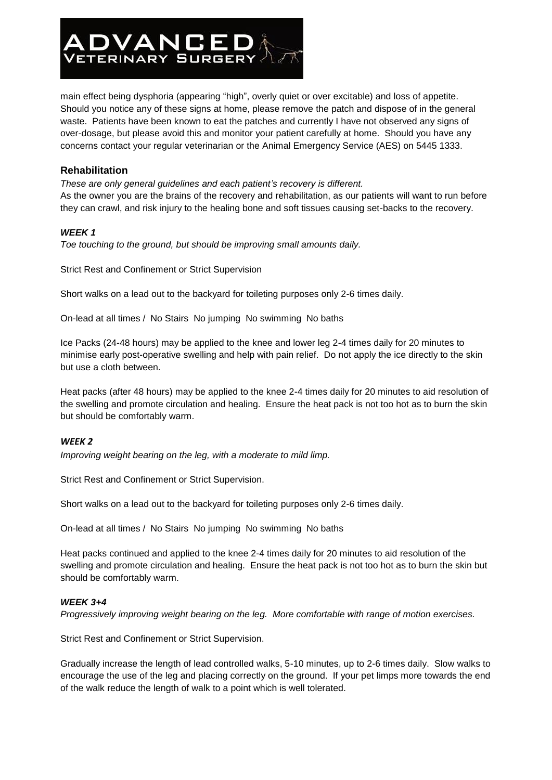

main effect being dysphoria (appearing "high", overly quiet or over excitable) and loss of appetite. Should you notice any of these signs at home, please remove the patch and dispose of in the general waste. Patients have been known to eat the patches and currently I have not observed any signs of over-dosage, but please avoid this and monitor your patient carefully at home. Should you have any concerns contact your regular veterinarian or the Animal Emergency Service (AES) on 5445 1333.

# **Rehabilitation**

*These are only general guidelines and each patient's recovery is different.* As the owner you are the brains of the recovery and rehabilitation, as our patients will want to run before they can crawl, and risk injury to the healing bone and soft tissues causing set-backs to the recovery.

# *WEEK 1*

*Toe touching to the ground, but should be improving small amounts daily.*

Strict Rest and Confinement or Strict Supervision

Short walks on a lead out to the backyard for toileting purposes only 2-6 times daily.

On-lead at all times / No Stairs No jumping No swimming No baths

Ice Packs (24-48 hours) may be applied to the knee and lower leg 2-4 times daily for 20 minutes to minimise early post-operative swelling and help with pain relief. Do not apply the ice directly to the skin but use a cloth between.

Heat packs (after 48 hours) may be applied to the knee 2-4 times daily for 20 minutes to aid resolution of the swelling and promote circulation and healing. Ensure the heat pack is not too hot as to burn the skin but should be comfortably warm.

# *WEEK 2*

*Improving weight bearing on the leg, with a moderate to mild limp.*

Strict Rest and Confinement or Strict Supervision.

Short walks on a lead out to the backyard for toileting purposes only 2-6 times daily.

On-lead at all times / No Stairs No jumping No swimming No baths

Heat packs continued and applied to the knee 2-4 times daily for 20 minutes to aid resolution of the swelling and promote circulation and healing. Ensure the heat pack is not too hot as to burn the skin but should be comfortably warm.

#### *WEEK 3+4*

*Progressively improving weight bearing on the leg. More comfortable with range of motion exercises.*

Strict Rest and Confinement or Strict Supervision.

Gradually increase the length of lead controlled walks, 5-10 minutes, up to 2-6 times daily. Slow walks to encourage the use of the leg and placing correctly on the ground. If your pet limps more towards the end of the walk reduce the length of walk to a point which is well tolerated.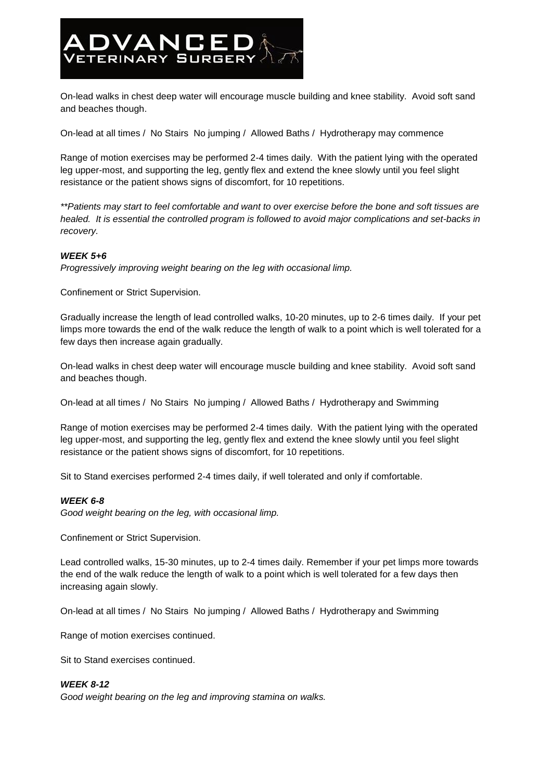

On-lead walks in chest deep water will encourage muscle building and knee stability. Avoid soft sand and beaches though.

On-lead at all times / No Stairs No jumping / Allowed Baths / Hydrotherapy may commence

Range of motion exercises may be performed 2-4 times daily. With the patient lying with the operated leg upper-most, and supporting the leg, gently flex and extend the knee slowly until you feel slight resistance or the patient shows signs of discomfort, for 10 repetitions.

*\*\*Patients may start to feel comfortable and want to over exercise before the bone and soft tissues are healed. It is essential the controlled program is followed to avoid major complications and set-backs in recovery.*

#### *WEEK 5+6*

*Progressively improving weight bearing on the leg with occasional limp.*

Confinement or Strict Supervision.

Gradually increase the length of lead controlled walks, 10-20 minutes, up to 2-6 times daily. If your pet limps more towards the end of the walk reduce the length of walk to a point which is well tolerated for a few days then increase again gradually.

On-lead walks in chest deep water will encourage muscle building and knee stability. Avoid soft sand and beaches though.

On-lead at all times / No Stairs No jumping / Allowed Baths / Hydrotherapy and Swimming

Range of motion exercises may be performed 2-4 times daily. With the patient lying with the operated leg upper-most, and supporting the leg, gently flex and extend the knee slowly until you feel slight resistance or the patient shows signs of discomfort, for 10 repetitions.

Sit to Stand exercises performed 2-4 times daily, if well tolerated and only if comfortable.

#### *WEEK 6-8*

*Good weight bearing on the leg, with occasional limp.*

Confinement or Strict Supervision.

Lead controlled walks, 15-30 minutes, up to 2-4 times daily. Remember if your pet limps more towards the end of the walk reduce the length of walk to a point which is well tolerated for a few days then increasing again slowly.

On-lead at all times / No Stairs No jumping / Allowed Baths / Hydrotherapy and Swimming

Range of motion exercises continued.

Sit to Stand exercises continued.

#### *WEEK 8-12*

*Good weight bearing on the leg and improving stamina on walks.*